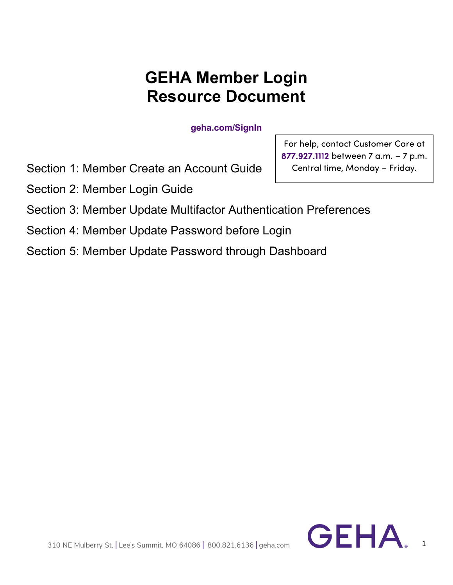# **GEHA Member Login Resource Document**

**geha.com/SignIn**

Section 1: Member Create an Account Guide

Section 2: Member Login Guide

For help, contact Customer Care at 877.927.1112 between 7 a.m. – 7 p.m. Central time, Monday – Friday.

Section 3: Member Update Multifactor Authentication Preferences

Section 4: Member Update Password before Login

Section 5: Member Update Password through Dashboard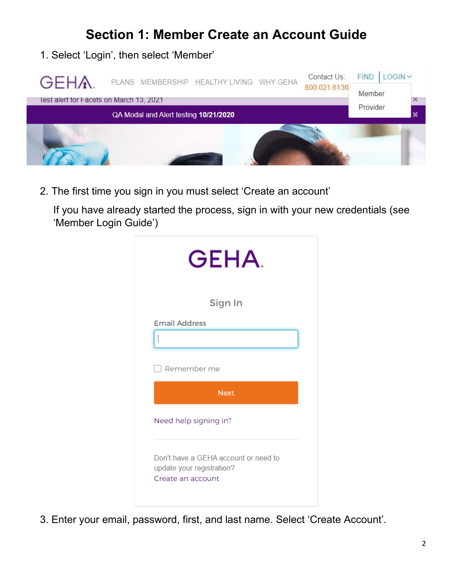## **Section 1: Member Create an Account Guide**

1. Select 'Login', then select 'Member'



2. The first time you sign in you must select 'Create an account'

If you have already started the process, sign in with your new credentials (see 'Member Login Guide')

|                       | <b>GEHA</b>                                                       |
|-----------------------|-------------------------------------------------------------------|
|                       | Sign In                                                           |
| <b>Email Address</b>  |                                                                   |
|                       |                                                                   |
| Remember me           |                                                                   |
|                       | <b>Next</b>                                                       |
| Need help signing in? |                                                                   |
| Create an account     | Don't have a GEHA account or need to<br>update your registration? |

3. Enter your email, password, first, and last name. Select 'Create Account'.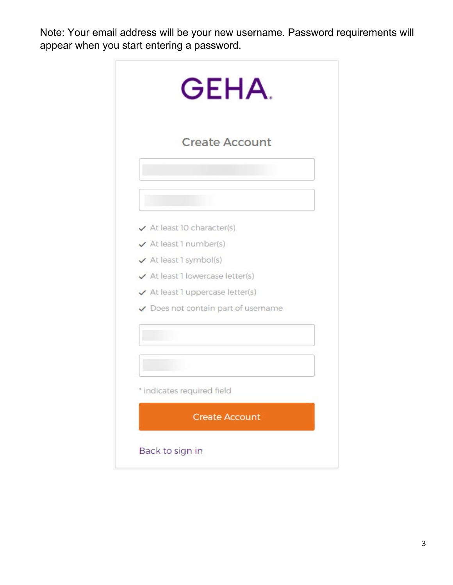Note: Your email address will be your new username. Password requirements will appear when you start entering a password.

| <b>Create Account</b>                       |  |
|---------------------------------------------|--|
|                                             |  |
|                                             |  |
|                                             |  |
| $\checkmark$ At least 10 character(s)       |  |
| $\checkmark$ At least 1 number(s)           |  |
| $\checkmark$ At least 1 symbol(s)           |  |
| ✔ At least 1 lowercase letter(s)            |  |
| $\checkmark$ At least 1 uppercase letter(s) |  |
| ✔ Does not contain part of username         |  |
|                                             |  |
|                                             |  |
| * indicates required field                  |  |
|                                             |  |
| <b>Create Account</b>                       |  |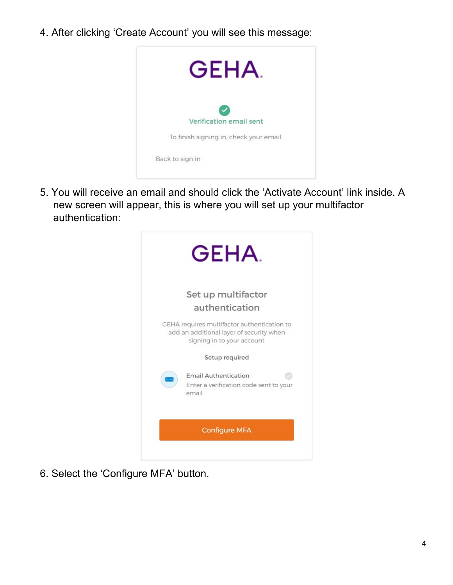4. After clicking 'Create Account' you will see this message:



5. You will receive an email and should click the 'Activate Account' link inside. A new screen will appear, this is where you will set up your multifactor authentication:



6. Select the 'Configure MFA' button.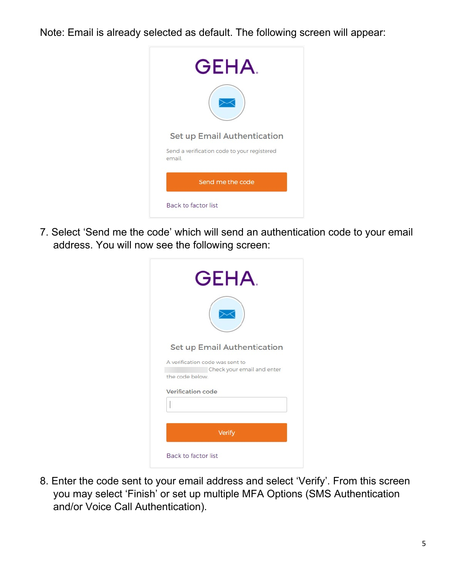Note: Email is already selected as default. The following screen will appear:



7. Select 'Send me the code' which will send an authentication code to your email address. You will now see the following screen:

| Set up Email Authentication                   |  |
|-----------------------------------------------|--|
| A verification code was sent to               |  |
| Check your email and enter<br>the code below. |  |
| Verification code                             |  |
|                                               |  |
|                                               |  |

8. Enter the code sent to your email address and select 'Verify'. From this screen you may select 'Finish' or set up multiple MFA Options (SMS Authentication and/or Voice Call Authentication).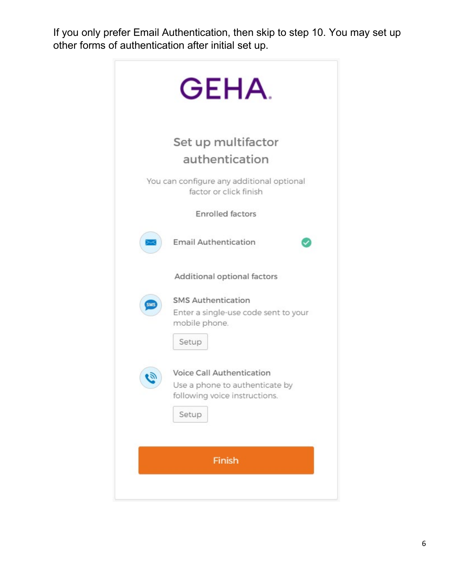If you only prefer Email Authentication, then skip to step 10. You may set up other forms of authentication after initial set up.

| GEHA.                                                                                                          |
|----------------------------------------------------------------------------------------------------------------|
| Set up multifactor<br>authentication                                                                           |
| You can configure any additional optional<br>factor or click finish                                            |
| <b>Enrolled factors</b>                                                                                        |
| <b>Email Authentication</b><br>$\scriptstyle\!\times$                                                          |
| Additional optional factors                                                                                    |
| <b>SMS Authentication</b><br><b>SMS</b><br>Enter a single-use code sent to your<br>mobile phone.<br>Setup      |
| Voice Call Authentication<br>لأقيا<br>Use a phone to authenticate by<br>following voice instructions.<br>Setup |
| Finish                                                                                                         |
|                                                                                                                |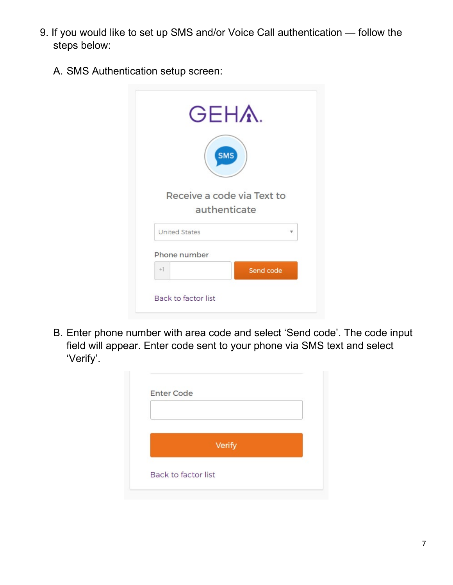- 9. If you would like to set up SMS and/or Voice Call authentication follow the steps below:
	- A. SMS Authentication setup screen:

| <b>GEHA.</b>               |           |
|----------------------------|-----------|
| <b>SMS</b>                 |           |
| Receive a code via Text to |           |
| authenticate               |           |
| <b>United States</b>       |           |
| Phone number               |           |
| $+1$                       | Send code |
| <b>Back to factor list</b> |           |

B. Enter phone number with area code and select 'Send code'. The code input field will appear. Enter code sent to your phone via SMS text and select 'Verify'.

| <b>Enter Code</b>   |        |  |
|---------------------|--------|--|
|                     |        |  |
|                     | Verify |  |
| Back to factor list |        |  |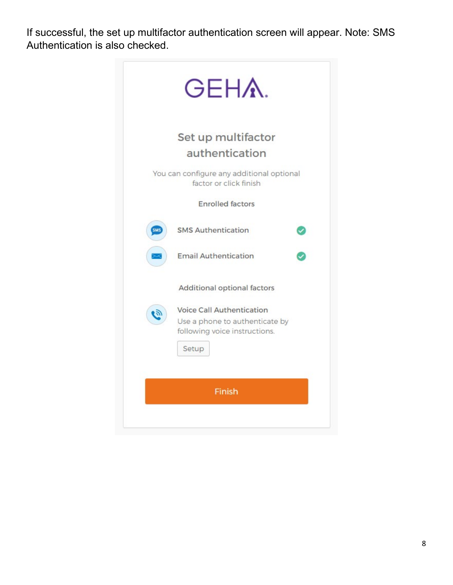If successful, the set up multifactor authentication screen will appear. Note: SMS Authentication is also checked.

| You can configure any additional optional |
|-------------------------------------------|
|                                           |
|                                           |
|                                           |
|                                           |
|                                           |
| Use a phone to authenticate by            |
|                                           |
|                                           |
|                                           |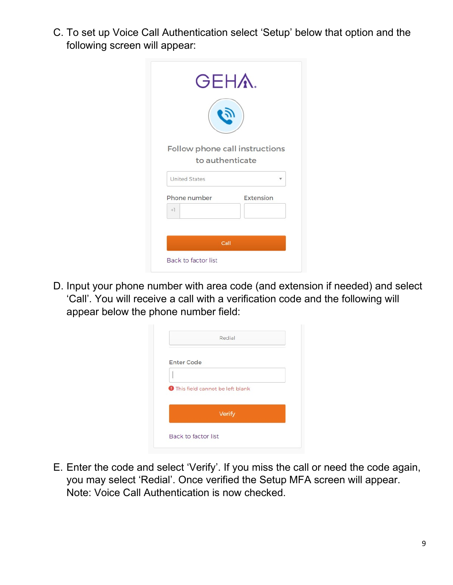C. To set up Voice Call Authentication select 'Setup' below that option and the following screen will appear:

| Follow phone call instructions |           |
|--------------------------------|-----------|
| to authenticate                |           |
| <b>United States</b>           |           |
| Phone number                   | Extension |
| $+1$                           |           |
|                                |           |
|                                |           |

D. Input your phone number with area code (and extension if needed) and select 'Call'. You will receive a call with a verification code and the following will appear below the phone number field:

| <b>Enter Code</b> |                                          |  |
|-------------------|------------------------------------------|--|
|                   |                                          |  |
|                   | <b>O</b> This field cannot be left blank |  |
|                   |                                          |  |
|                   | Verify                                   |  |

E. Enter the code and select 'Verify'. If you miss the call or need the code again, you may select 'Redial'. Once verified the Setup MFA screen will appear. Note: Voice Call Authentication is now checked.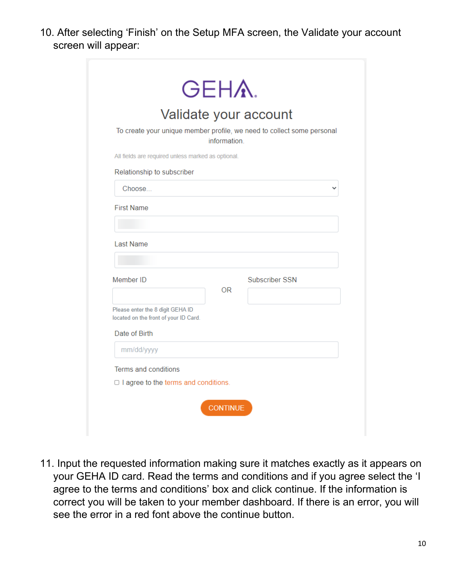10. After selecting 'Finish' on the Setup MFA screen, the Validate your account screen will appear:

|                                                                           |              | Validate your account                                                  |
|---------------------------------------------------------------------------|--------------|------------------------------------------------------------------------|
|                                                                           | information. | To create your unique member profile, we need to collect some personal |
| All fields are required unless marked as optional.                        |              |                                                                        |
| Relationship to subscriber                                                |              |                                                                        |
| Choose                                                                    |              |                                                                        |
| <b>First Name</b>                                                         |              |                                                                        |
|                                                                           |              |                                                                        |
| <b>Last Name</b>                                                          |              |                                                                        |
| Member ID                                                                 |              | Subscriber SSN                                                         |
|                                                                           | 0R           |                                                                        |
| Please enter the 8 digit GEHA ID<br>located on the front of your ID Card. |              |                                                                        |
| Date of Birth                                                             |              |                                                                        |
|                                                                           |              |                                                                        |
| mm/dd/yyyy                                                                |              |                                                                        |
| Terms and conditions                                                      |              |                                                                        |

11. Input the requested information making sure it matches exactly as it appears on your GEHA ID card. Read the terms and conditions and if you agree select the 'I agree to the terms and conditions' box and click continue. If the information is correct you will be taken to your member dashboard. If there is an error, you will see the error in a red font above the continue button.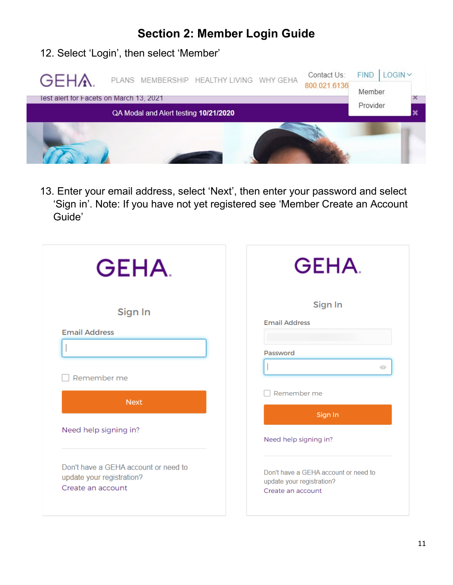## **Section 2: Member Login Guide**

#### 12. Select 'Login', then select 'Member'

| <b>GEHA</b><br>lest alert for Facets on March 13, 2021 |                                       | PLANS MEMBERSHIP HEALTHY LIVING WHY GEHA | Contact Us:<br>800.021.6136 | <b>FIND</b><br>Member |  |
|--------------------------------------------------------|---------------------------------------|------------------------------------------|-----------------------------|-----------------------|--|
|                                                        | QA Modal and Alert testing 10/21/2020 |                                          |                             | Provider              |  |
|                                                        |                                       |                                          |                             |                       |  |

13. Enter your email address, select 'Next', then enter your password and select 'Sign in'. Note: If you have not yet registered see 'Member Create an Account Guide'

| <b>GEHA</b>                                                                            | <b>GEHA</b>                                                                            |
|----------------------------------------------------------------------------------------|----------------------------------------------------------------------------------------|
| Sign In<br><b>Email Address</b>                                                        | Sign In<br><b>Email Address</b><br>Password<br>Q                                       |
| Remember me<br><b>Next</b>                                                             | Remember me                                                                            |
| Need help signing in?                                                                  | Sign In<br>Need help signing in?                                                       |
| Don't have a GEHA account or need to<br>update your registration?<br>Create an account | Don't have a GEHA account or need to<br>update your registration?<br>Create an account |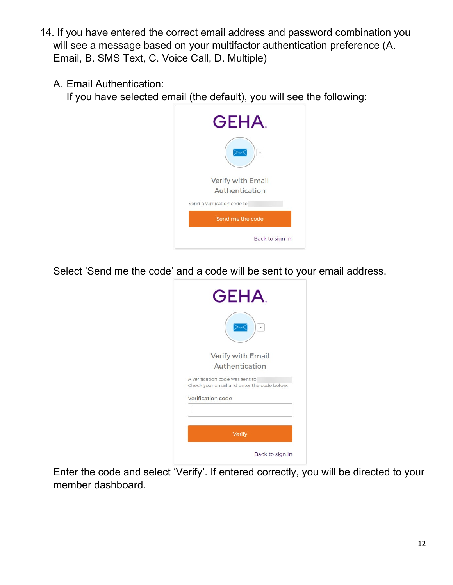- 14. If you have entered the correct email address and password combination you will see a message based on your multifactor authentication preference (A. Email, B. SMS Text, C. Voice Call, D. Multiple)
	- A. Email Authentication:

If you have selected email (the default), you will see the following:



Select 'Send me the code' and a code will be sent to your email address.



Enter the code and select 'Verify'. If entered correctly, you will be directed to your member dashboard.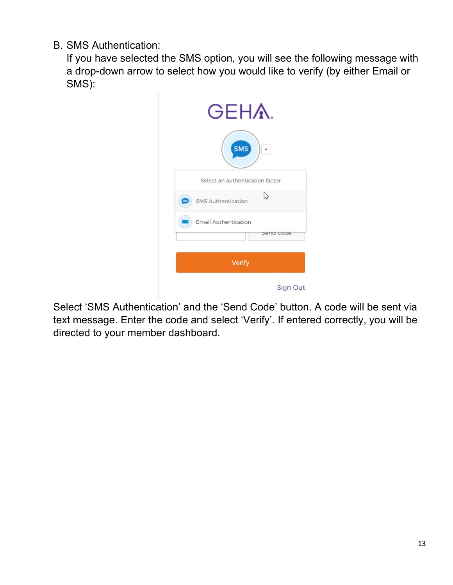B. SMS Authentication:

If you have selected the SMS option, you will see the following message with a drop-down arrow to select how you would like to verify (by either Email or SMS):

|     | <b>GEHA.</b>                    |
|-----|---------------------------------|
|     | <b>SMS</b>                      |
|     | Select an authentication factor |
| SNS | P<br><b>SMS Authentication</b>  |
|     | <b>Email Authentication</b>     |
|     | sena coae                       |
|     | Verify                          |
|     | Sign Out                        |

Select 'SMS Authentication' and the 'Send Code' button. A code will be sent via text message. Enter the code and select 'Verify'. If entered correctly, you will be directed to your member dashboard.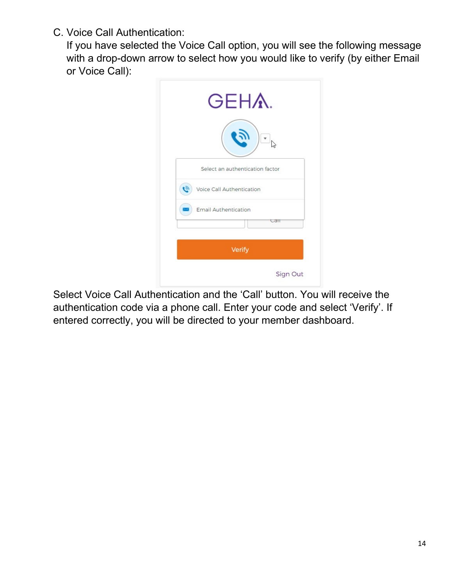C. Voice Call Authentication:

If you have selected the Voice Call option, you will see the following message with a drop-down arrow to select how you would like to verify (by either Email or Voice Call):

| <b>GEHA.</b>                             |  |
|------------------------------------------|--|
|                                          |  |
| Select an authentication factor          |  |
| $\tilde{e}$<br>Voice Call Authentication |  |
| <b>Email Authentication</b>              |  |
| can                                      |  |
| Verify                                   |  |

Select Voice Call Authentication and the 'Call' button. You will receive the authentication code via a phone call. Enter your code and select 'Verify'. If entered correctly, you will be directed to your member dashboard.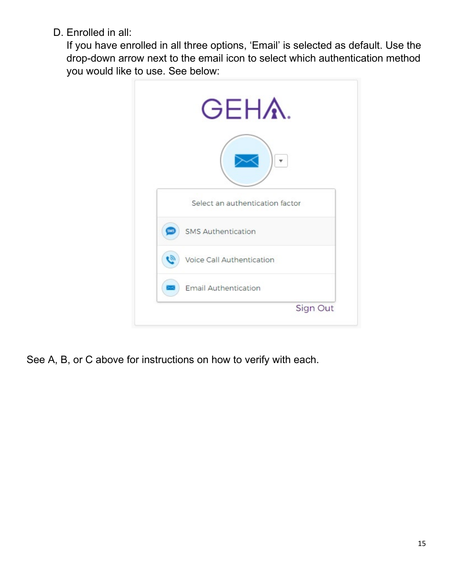D. Enrolled in all:

If you have enrolled in all three options, 'Email' is selected as default. Use the drop-down arrow next to the email icon to select which authentication method you would like to use. See below:



See A, B, or C above for instructions on how to verify with each.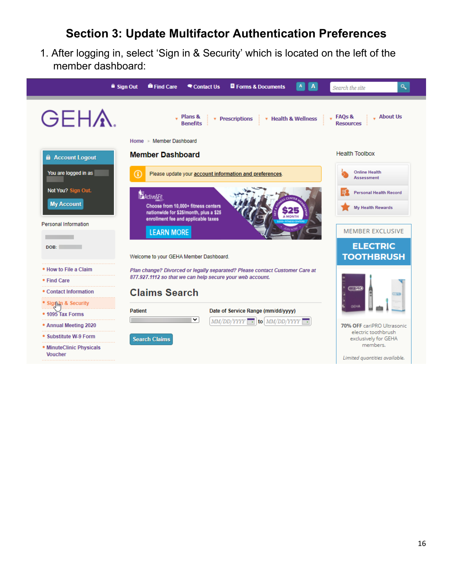## **Section 3: Update Multifactor Authentication Preferences**

1. After logging in, select 'Sign in & Security' which is located on the left of the member dashboard:

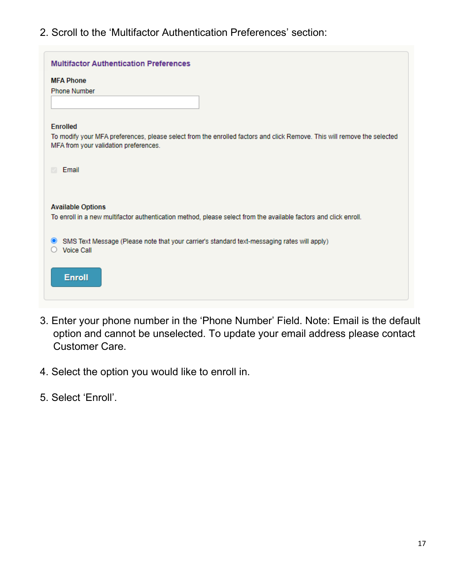2. Scroll to the 'Multifactor Authentication Preferences' section:

| <b>Multifactor Authentication Preferences</b>                                                                                                                    |
|------------------------------------------------------------------------------------------------------------------------------------------------------------------|
| <b>MFA Phone</b>                                                                                                                                                 |
| <b>Phone Number</b>                                                                                                                                              |
|                                                                                                                                                                  |
|                                                                                                                                                                  |
| <b>Enrolled</b>                                                                                                                                                  |
| To modify your MFA preferences, please select from the enrolled factors and click Remove. This will remove the selected<br>MFA from your validation preferences. |
| Email<br>M.                                                                                                                                                      |
| <b>Available Options</b><br>To enroll in a new multifactor authentication method, please select from the available factors and click enroll.                     |
| SMS Text Message (Please note that your carrier's standard text-messaging rates will apply)<br>$\bullet$<br><b>Voice Call</b>                                    |
| <b>Enroll</b>                                                                                                                                                    |

- 3. Enter your phone number in the 'Phone Number' Field. Note: Email is the default option and cannot be unselected. To update your email address please contact Customer Care.
- 4. Select the option you would like to enroll in.
- 5. Select 'Enroll'.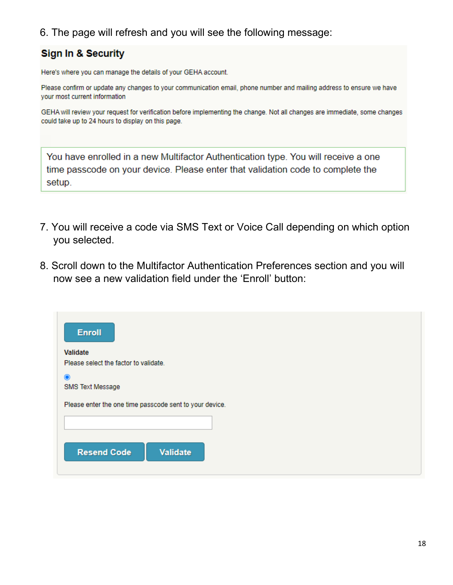#### 6. The page will refresh and you will see the following message:

#### **Sign In & Security**

Here's where you can manage the details of your GEHA account.

Please confirm or update any changes to your communication email, phone number and mailing address to ensure we have your most current information

GEHA will review your request for verification before implementing the change. Not all changes are immediate, some changes could take up to 24 hours to display on this page.

You have enrolled in a new Multifactor Authentication type. You will receive a one time passcode on your device. Please enter that validation code to complete the setup.

- 7. You will receive a code via SMS Text or Voice Call depending on which option you selected.
- 8. Scroll down to the Multifactor Authentication Preferences section and you will now see a new validation field under the 'Enroll' button:

| <b>Enroll</b>                                           |  |
|---------------------------------------------------------|--|
| Validate                                                |  |
| Please select the factor to validate.                   |  |
| $\odot$                                                 |  |
| SMS Text Message                                        |  |
| Please enter the one time passcode sent to your device. |  |
|                                                         |  |
| <b>Resend Code</b><br>Validate                          |  |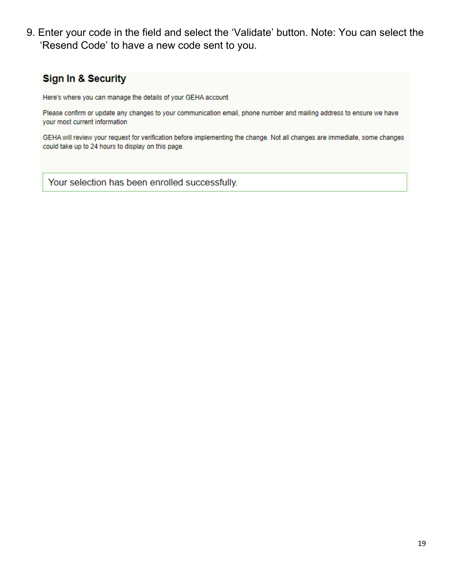9. Enter your code in the field and select the 'Validate' button. Note: You can select the 'Resend Code' to have a new code sent to you.

#### **Sign In & Security**

Here's where you can manage the details of your GEHA account.

Please confirm or update any changes to your communication email, phone number and mailing address to ensure we have your most current information

GEHA will review your request for verification before implementing the change. Not all changes are immediate, some changes could take up to 24 hours to display on this page.

Your selection has been enrolled successfully.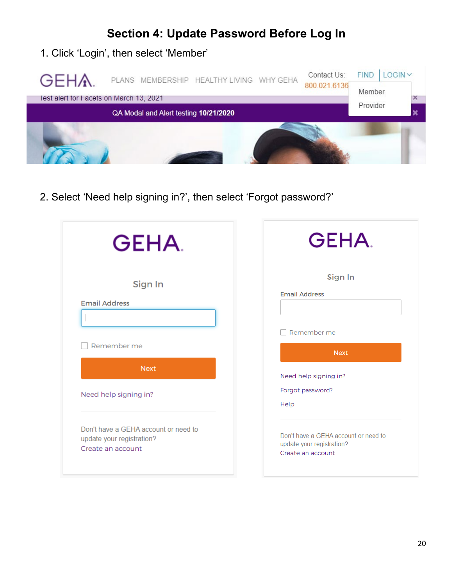## **Section 4: Update Password Before Log In**

#### 1. Click 'Login', then select 'Member'



2. Select 'Need help signing in?', then select 'Forgot password?'

| <b>GEHA</b>                                                                            | <b>GEHA</b>                                                                            |
|----------------------------------------------------------------------------------------|----------------------------------------------------------------------------------------|
| Sign In<br><b>Email Address</b><br>Remember me                                         | Sign In<br><b>Email Address</b><br>Remember me<br><b>Next</b>                          |
| <b>Next</b><br>Need help signing in?                                                   | Need help signing in?<br>Forgot password?<br>Help                                      |
| Don't have a GEHA account or need to<br>update your registration?<br>Create an account | Don't have a GEHA account or need to<br>update your registration?<br>Create an account |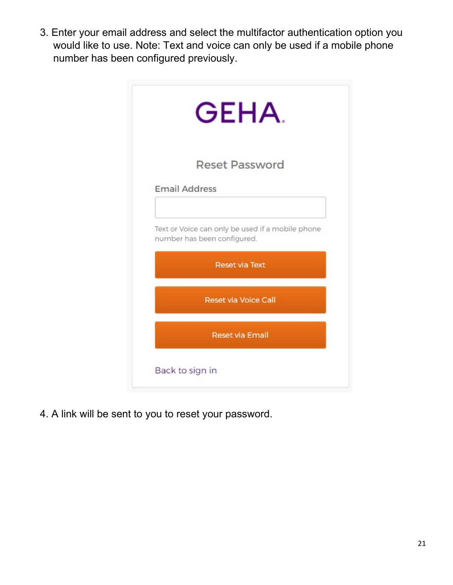3. Enter your email address and select the multifactor authentication option you would like to use. Note: Text and voice can only be used if a mobile phone number has been configured previously.

| <b>GEHA</b>                                                                     |
|---------------------------------------------------------------------------------|
| <b>Reset Password</b>                                                           |
| <b>Email Address</b>                                                            |
| Text or Voice can only be used if a mobile phone<br>number has been configured. |
| <b>Reset via Text</b>                                                           |
| <b>Reset via Voice Call</b>                                                     |
| <b>Reset via Email</b>                                                          |
| Back to sign in                                                                 |

4. A link will be sent to you to reset your password.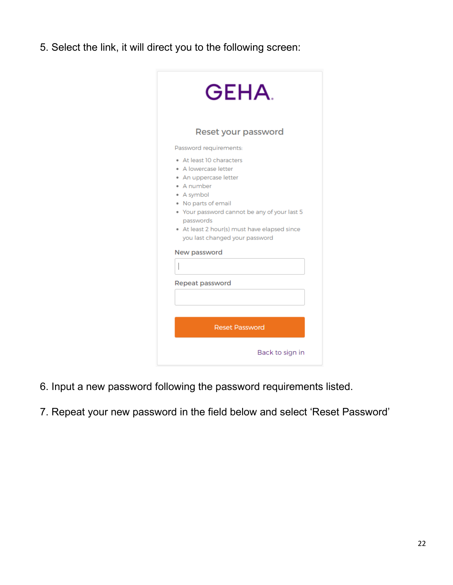5. Select the link, it will direct you to the following screen:

| <b>GEHA</b>                                                                                                                                                                                                                                                                 |
|-----------------------------------------------------------------------------------------------------------------------------------------------------------------------------------------------------------------------------------------------------------------------------|
| Reset your password                                                                                                                                                                                                                                                         |
| Password requirements:                                                                                                                                                                                                                                                      |
| • At least 10 characters<br>• A lowercase letter<br>• An uppercase letter<br>• A number<br>• A symbol<br>• No parts of email<br>• Your password cannot be any of your last 5<br>passwords<br>• At least 2 hour(s) must have elapsed since<br>you last changed your password |
| New password                                                                                                                                                                                                                                                                |
|                                                                                                                                                                                                                                                                             |
| Repeat password                                                                                                                                                                                                                                                             |
| <b>Reset Password</b>                                                                                                                                                                                                                                                       |
| Back to sign in                                                                                                                                                                                                                                                             |

- 6. Input a new password following the password requirements listed.
- 7. Repeat your new password in the field below and select 'Reset Password'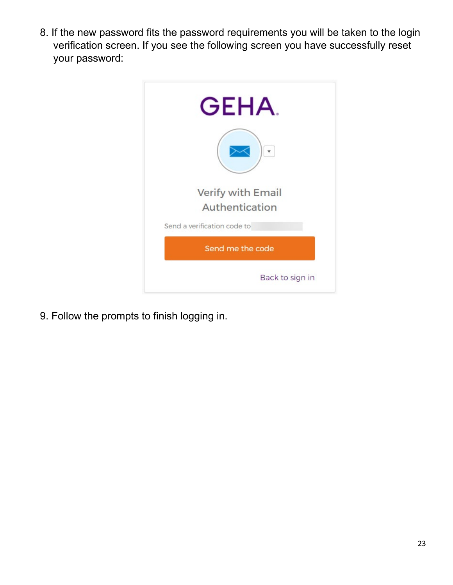8. If the new password fits the password requirements you will be taken to the login verification screen. If you see the following screen you have successfully reset your password:

| <b>GEHA</b>                 |
|-----------------------------|
|                             |
| <b>Verify with Email</b>    |
| Authentication              |
| Send a verification code to |
| Send me the code            |
| Back to sign in             |

9. Follow the prompts to finish logging in.